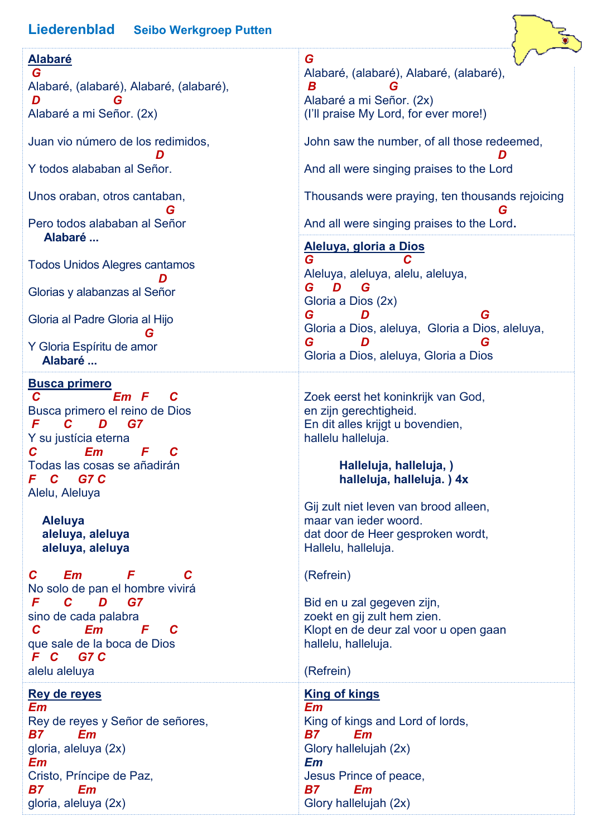# **Liederenblad Seibo Werkgroep Putten**

### **Alabaré**

*G* Alabaré, (alabaré), Alabaré, (alabaré), *D G* Alabaré a mi Señor. (2x)

Juan vio número de los redimidos, *D* Y todos alababan al Señor.

Unos oraban, otros cantaban,

*G* Pero todos alababan al Señor **Alabaré ...**

Todos Unidos Alegres cantamos *D* Glorias y alabanzas al Señor

Gloria al Padre Gloria al Hijo *G*

Y Gloria Espíritu de amor **Alabaré ...**

**Busca primero** *C Em F C* Busca primero el reino de Dios *F C D G7* Y su justícia eterna *C Em F C* Todas las cosas se añadirán *F C G7 C* Alelu, Aleluya

**Aleluya aleluya, aleluya aleluya, aleluya**

*C Em F C* No solo de pan el hombre vivirá *F C D G7* sino de cada palabra *C Em F C* que sale de la boca de Dios *F C G7 C* alelu aleluya

**Rey de reyes** *Em* Rey de reyes y Señor de señores, *B7 Em* gloria, aleluya (2x) *Em* Cristo, Príncipe de Paz, *B7 Em* gloria, aleluya (2x)

*G* Alabaré, (alabaré), Alabaré, (alabaré), *B G* Alabaré a mi Señor. (2x) (I'll praise My Lord, for ever more!)

John saw the number, of all those redeemed,

*D* And all were singing praises to the Lord

Thousands were praying, ten thousands rejoicing

*G*

And all were singing praises to the Lord**.**

### **Aleluya, gloria a Dios**

*G C* Aleluya, aleluya, alelu, aleluya, *G D G* Gloria a Dios (2x) *G D G* Gloria a Dios, aleluya, Gloria a Dios, aleluya, *G D G* Gloria a Dios, aleluya, Gloria a Dios

Zoek eerst het koninkrijk van God, en zijn gerechtigheid. En dit alles krijgt u bovendien, hallelu halleluja.

### **Halleluja, halleluja, ) halleluja, halleluja. ) 4x**

Gij zult niet leven van brood alleen, maar van ieder woord. dat door de Heer gesproken wordt, Hallelu, halleluja.

(Refrein)

Bid en u zal gegeven zijn, zoekt en gij zult hem zien. Klopt en de deur zal voor u open gaan hallelu, halleluja.

#### (Refrein)

**King of kings**  *Em* King of kings and Lord of lords, *B7 Em* Glory hallelujah (2x) *Em* Jesus Prince of peace, *B7 Em* Glory hallelujah (2x)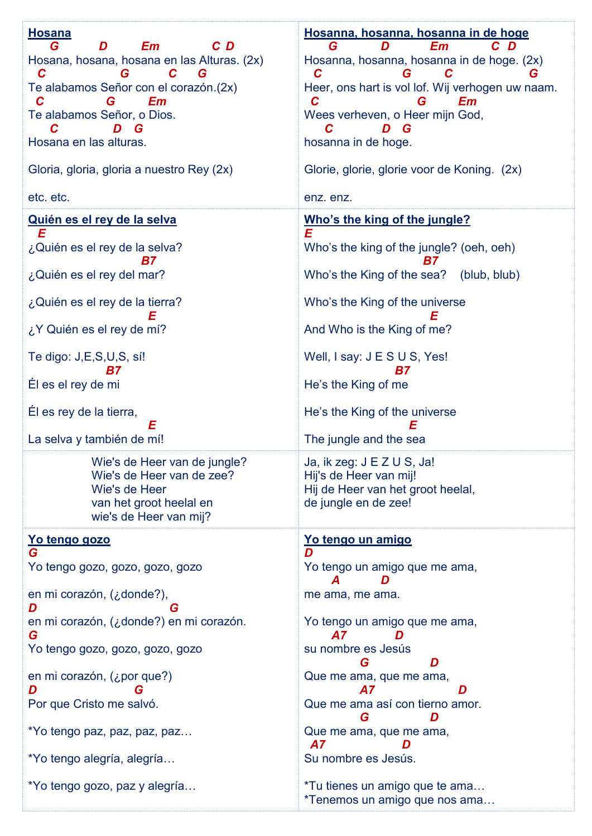**Hosana** *G D Em C D* Hosana, hosana, hosana en las Alturas. (2x) *C G C G* Te alabamos Señor con el corazón.(2x) *C G Em* Te alabamos Señor, o Dios. *C D G* Hosana en las alturas. Gloria, gloria, gloria a nuestro Rey (2x) etc. etc. **Hosanna, hosanna, hosanna in de hoge** *G D Em C D* Hosanna, hosanna, hosanna in de hoge. (2x) *C G C G* Heer, ons hart is vol lof. Wij verhogen uw naam. *C G Em* Wees verheven, o Heer mijn God, *C D G* hosanna in de hoge. Glorie, glorie, glorie voor de Koning. (2x) enz. enz. **Quién es el rey de la selva** *E* ¿Quién es el rey de la selva? *B7* ¿Quién es el rey del mar? ¿Quién es el rey de la tierra? *E* ¿Y Quién es el rey de mí? Te digo: J,E,S,U,S, sí! *B7* Él es el rey de mi Él es rey de la tierra, *E* La selva y también de mí! **Who's the king of the jungle?** *E* Who's the king of the jungle? (oeh, oeh) *B7* Who's the King of the sea? (blub, blub) Who's the King of the universe *E* And Who is the King of me? Well, I say: J E S U S, Yes! *B7* He's the King of me He's the King of the universe *E* The jungle and the sea Wie's de Heer van de jungle? Wie's de Heer van de zee? Wie's de Heer van het groot heelal en wie's de Heer van mij? Ja, ik zeg: J E Z U S, Ja! Hij's de Heer van mij! Hij de Heer van het groot heelal, de jungle en de zee! **Yo tengo gozo** *G* Yo tengo gozo, gozo, gozo, gozo en mi corazón, (¿donde?), *D G* en mi corazón, (¿donde?) en mi corazón. *G* Yo tengo gozo, gozo, gozo, gozo en mi corazón, (¿por que?) *D G* Por que Cristo me salvó. \*Yo tengo paz, paz, paz, paz… \*Yo tengo alegría, alegría… \*Yo tengo gozo, paz y alegría… **Yo tengo un amigo** *D* Yo tengo un amigo que me ama, *A D* me ama, me ama. Yo tengo un amigo que me ama, *A7 D* su nombre es Jesús *G D* Que me ama, que me ama, *A7 D* Que me ama así con tierno amor. *G D* Que me ama, que me ama, *A7 D* Su nombre es Jesús. \*Tu tienes un amigo que te ama… \*Tenemos un amigo que nos ama…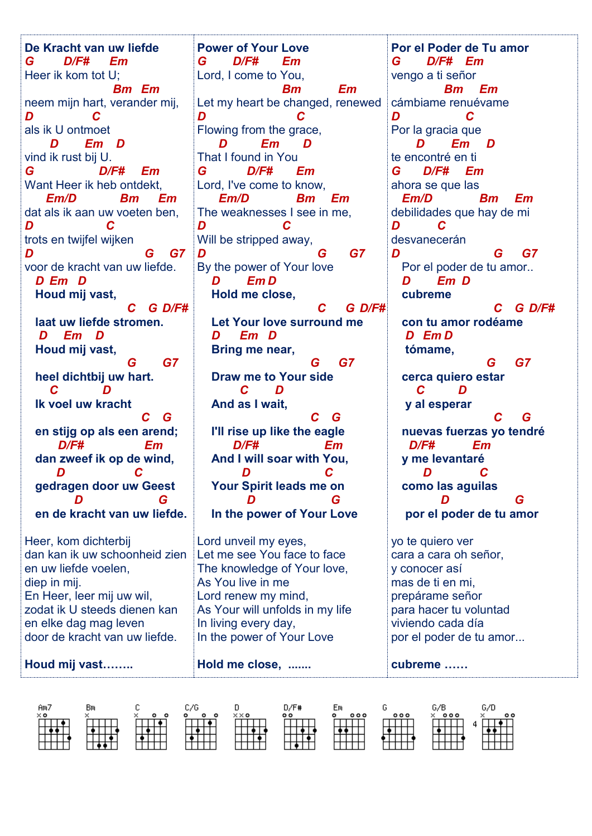**De Kracht van uw liefde** *G D/F# Em*  Heer ik kom tot U; *Bm Em* neem mijn hart, verander mij, *D C* als ik U ontmoet *D Em D*  vind ik rust bij U. *G D/F# Em*  Want Heer ik heb ontdekt, *Em/D Bm Em*  dat als ik aan uw voeten ben, *D C* trots en twijfel wijken *D G G7* voor de kracht van uw liefde. *D Em D*  **Houd mij vast,** *C G D/F#* **laat uw liefde stromen.** *D Em D*  **Houd mij vast,** *G G7* **heel dichtbij uw hart.** *C D* **Ik voel uw kracht** *C G* **en stijg op als een arend;** *D/F# Em* **dan zweef ik op de wind,** *D C* **gedragen door uw Geest** *D G* **en de kracht van uw liefde.**

Heer, kom dichterbij dan kan ik uw schoonheid zien en uw liefde voelen, diep in mij. En Heer, leer mij uw wil, zodat ik U steeds dienen kan en elke dag mag leven door de kracht van uw liefde.

**Houd mij vast……..**

**Power of Your Love** *G D/F# Em*  Lord, I come to You, *Bm Em*  Let my heart be changed, renewed *D C* Flowing from the grace, *D Em D*  That I found in You *G D/F# Em*  Lord, I've come to know, *Em/D Bm Em*  The weaknesses I see in me, *D C* Will be stripped away, *D G G7* By the power of Your love *D Em D*  **Hold me close,**  *C G D/F#* **Let Your love surround me** *D Em D*  **Bring me near,**  *G G7*

**Draw me to Your side**  *C D* **And as I wait,**  *C G* **I'll rise up like the eagle**  *D/F# Em*  **And I will soar with You,**  *D C* **Your Spirit leads me on**  *D G* **In the power of Your Love**

Lord unveil my eyes, Let me see You face to face The knowledge of Your love, As You live in me Lord renew my mind, As Your will unfolds in my life In living every day, In the power of Your Love

**Por el Poder de Tu amor** *G D/F# Em*  vengo a ti señor *Bm Em* cámbiame renuévame *D C* Por la gracia que *D Em D*  te encontré en ti *G D/F# Em*  ahora se que las *Em/D Bm Em*  debilidades que hay de mi *D C* desvanecerán *D G G7* Por el poder de tu amor.. *D Em D*  **cubreme**  *C G D/F#* **con tu amor rodéame**  *D Em D*  **tómame,** *G G7* **cerca quiero estar**  *C D* **y al esperar**  *C G* **nuevas fuerzas yo tendré**  *D/F# Em* **y me levantaré** *D C* **como las aguilas**  *D G* **por el poder de tu amor**

yo te quiero ver cara a cara oh señor, y conocer así mas de ti en mi, prepárame señor para hacer tu voluntad viviendo cada día por el poder de tu amor...

## **cubreme ……**



**Hold me close, .......**